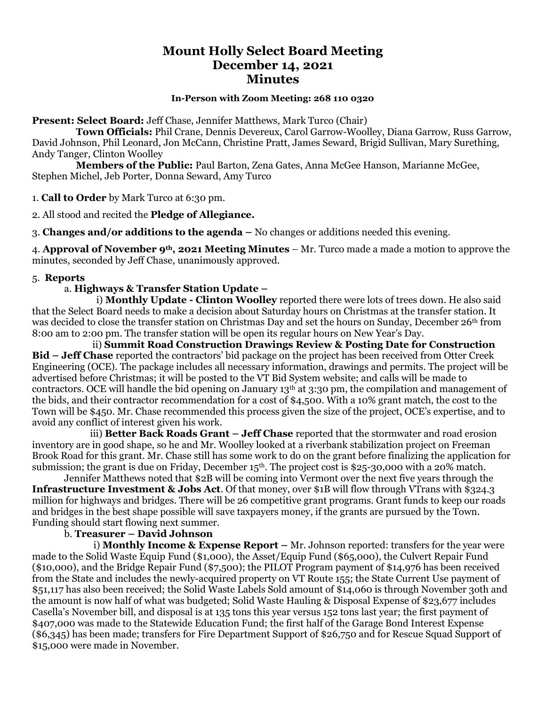# **Mount Holly Select Board Meeting December 14, 2021 Minutes**

## **In-Person with Zoom Meeting: 268 110 0320**

**Present: Select Board:** Jeff Chase, Jennifer Matthews, Mark Turco (Chair)

 **Town Officials:** Phil Crane, Dennis Devereux, Carol Garrow-Woolley, Diana Garrow, Russ Garrow, David Johnson, Phil Leonard, Jon McCann, Christine Pratt, James Seward, Brigid Sullivan, Mary Surething, Andy Tanger, Clinton Woolley

 **Members of the Public:** Paul Barton, Zena Gates, Anna McGee Hanson, Marianne McGee, Stephen Michel, Jeb Porter, Donna Seward, Amy Turco

1. **Call to Order** by Mark Turco at 6:30 pm.

2. All stood and recited the **Pledge of Allegiance.**

3. **Changes and/or additions to the agenda –** No changes or additions needed this evening.

4. **Approval of November 9th, 2021 Meeting Minutes** – Mr. Turco made a made a motion to approve the minutes, seconded by Jeff Chase, unanimously approved.

#### 5. **Reports**

### a. **Highways & Transfer Station Update –**

i) **Monthly Update - Clinton Woolley** reported there were lots of trees down. He also said that the Select Board needs to make a decision about Saturday hours on Christmas at the transfer station. It was decided to close the transfer station on Christmas Day and set the hours on Sunday, December 26th from 8:00 am to 2:00 pm. The transfer station will be open its regular hours on New Year's Day.

 ii) **Summit Road Construction Drawings Review & Posting Date for Construction Bid – Jeff Chase** reported the contractors' bid package on the project has been received from Otter Creek Engineering (OCE). The package includes all necessary information, drawings and permits. The project will be advertised before Christmas; it will be posted to the VT Bid System website; and calls will be made to contractors. OCE will handle the bid opening on January 13<sup>th</sup> at 3:30 pm, the compilation and management of the bids, and their contractor recommendation for a cost of \$4,500. With a 10% grant match, the cost to the Town will be \$450. Mr. Chase recommended this process given the size of the project, OCE's expertise, and to avoid any conflict of interest given his work.

 iii) **Better Back Roads Grant – Jeff Chase** reported that the stormwater and road erosion inventory are in good shape, so he and Mr. Woolley looked at a riverbank stabilization project on Freeman Brook Road for this grant. Mr. Chase still has some work to do on the grant before finalizing the application for submission; the grant is due on Friday, December  $15<sup>th</sup>$ . The project cost is \$25-30,000 with a 20% match.

Jennifer Matthews noted that \$2B will be coming into Vermont over the next five years through the **Infrastructure Investment & Jobs Act**. Of that money, over \$1B will flow through VTrans with \$324.3 million for highways and bridges. There will be 26 competitive grant programs. Grant funds to keep our roads and bridges in the best shape possible will save taxpayers money, if the grants are pursued by the Town. Funding should start flowing next summer.

#### b. **Treasurer – David Johnson**

 i) **Monthly Income & Expense Report –** Mr. Johnson reported: transfers for the year were made to the Solid Waste Equip Fund (\$1,000), the Asset/Equip Fund (\$65,000), the Culvert Repair Fund (\$10,000), and the Bridge Repair Fund (\$7,500); the PILOT Program payment of \$14,976 has been received from the State and includes the newly-acquired property on VT Route 155; the State Current Use payment of \$51,117 has also been received; the Solid Waste Labels Sold amount of \$14,060 is through November 3oth and the amount is now half of what was budgeted; Solid Waste Hauling & Disposal Expense of \$23,677 includes Casella's November bill, and disposal is at 135 tons this year versus 152 tons last year; the first payment of \$407,000 was made to the Statewide Education Fund; the first half of the Garage Bond Interest Expense (\$6,345) has been made; transfers for Fire Department Support of \$26,750 and for Rescue Squad Support of \$15,000 were made in November.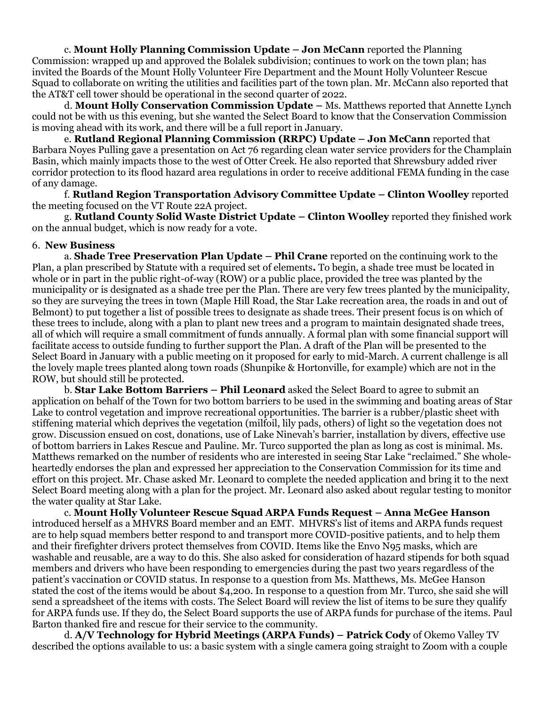c. **Mount Holly Planning Commission Update – Jon McCann** reported the Planning Commission: wrapped up and approved the Bolalek subdivision; continues to work on the town plan; has invited the Boards of the Mount Holly Volunteer Fire Department and the Mount Holly Volunteer Rescue Squad to collaborate on writing the utilities and facilities part of the town plan. Mr. McCann also reported that the AT&T cell tower should be operational in the second quarter of 2022.

d. **Mount Holly Conservation Commission Update –** Ms. Matthews reported that Annette Lynch could not be with us this evening, but she wanted the Select Board to know that the Conservation Commission is moving ahead with its work, and there will be a full report in January.

e. **Rutland Regional Planning Commission (RRPC) Update – Jon McCann** reported that Barbara Noyes Pulling gave a presentation on Act 76 regarding clean water service providers for the Champlain Basin, which mainly impacts those to the west of Otter Creek. He also reported that Shrewsbury added river corridor protection to its flood hazard area regulations in order to receive additional FEMA funding in the case of any damage.

f. **Rutland Region Transportation Advisory Committee Update – Clinton Woolley** reported the meeting focused on the VT Route 22A project.

g. **Rutland County Solid Waste District Update – Clinton Woolley** reported they finished work on the annual budget, which is now ready for a vote.

#### 6. **New Business**

a. **Shade Tree Preservation Plan Update – Phil Crane** reported on the continuing work to the Plan, a plan prescribed by Statute with a required set of elements**.** To begin, a shade tree must be located in whole or in part in the public right-of-way (ROW) or a public place, provided the tree was planted by the municipality or is designated as a shade tree per the Plan. There are very few trees planted by the municipality, so they are surveying the trees in town (Maple Hill Road, the Star Lake recreation area, the roads in and out of Belmont) to put together a list of possible trees to designate as shade trees. Their present focus is on which of these trees to include, along with a plan to plant new trees and a program to maintain designated shade trees, all of which will require a small commitment of funds annually. A formal plan with some financial support will facilitate access to outside funding to further support the Plan. A draft of the Plan will be presented to the Select Board in January with a public meeting on it proposed for early to mid-March. A current challenge is all the lovely maple trees planted along town roads (Shunpike & Hortonville, for example) which are not in the ROW, but should still be protected.

b. **Star Lake Bottom Barriers – Phil Leonard** asked the Select Board to agree to submit an application on behalf of the Town for two bottom barriers to be used in the swimming and boating areas of Star Lake to control vegetation and improve recreational opportunities. The barrier is a rubber/plastic sheet with stiffening material which deprives the vegetation (milfoil, lily pads, others) of light so the vegetation does not grow. Discussion ensued on cost, donations, use of Lake Ninevah's barrier, installation by divers, effective use of bottom barriers in Lakes Rescue and Pauline. Mr. Turco supported the plan as long as cost is minimal. Ms. Matthews remarked on the number of residents who are interested in seeing Star Lake "reclaimed." She wholeheartedly endorses the plan and expressed her appreciation to the Conservation Commission for its time and effort on this project. Mr. Chase asked Mr. Leonard to complete the needed application and bring it to the next Select Board meeting along with a plan for the project. Mr. Leonard also asked about regular testing to monitor the water quality at Star Lake.

c. **Mount Holly Volunteer Rescue Squad ARPA Funds Request – Anna McGee Hanson**  introduced herself as a MHVRS Board member and an EMT. MHVRS's list of items and ARPA funds request are to help squad members better respond to and transport more COVID-positive patients, and to help them and their firefighter drivers protect themselves from COVID. Items like the Envo N95 masks, which are washable and reusable, are a way to do this. She also asked for consideration of hazard stipends for both squad members and drivers who have been responding to emergencies during the past two years regardless of the patient's vaccination or COVID status. In response to a question from Ms. Matthews, Ms. McGee Hanson stated the cost of the items would be about \$4,200. In response to a question from Mr. Turco, she said she will send a spreadsheet of the items with costs. The Select Board will review the list of items to be sure they qualify for ARPA funds use. If they do, the Select Board supports the use of ARPA funds for purchase of the items. Paul Barton thanked fire and rescue for their service to the community.

d. **A/V Technology for Hybrid Meetings (ARPA Funds) – Patrick Cody** of Okemo Valley TV described the options available to us: a basic system with a single camera going straight to Zoom with a couple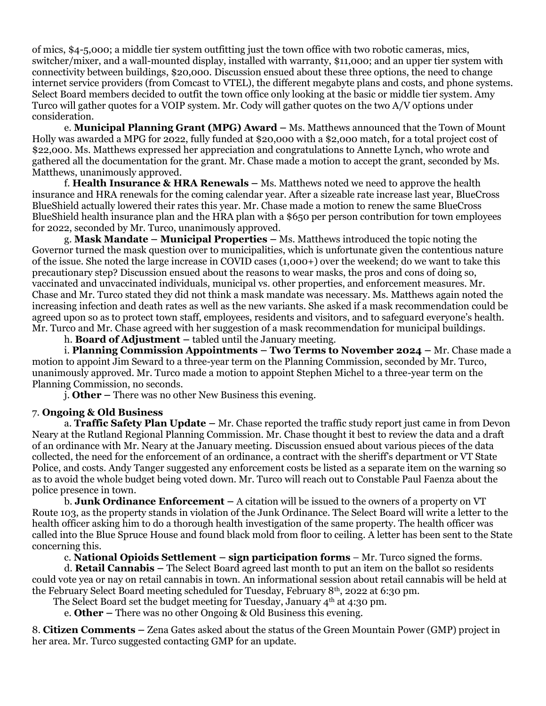of mics, \$4-5,000; a middle tier system outfitting just the town office with two robotic cameras, mics, switcher/mixer, and a wall-mounted display, installed with warranty, \$11,000; and an upper tier system with connectivity between buildings, \$20,000. Discussion ensued about these three options, the need to change internet service providers (from Comcast to VTEL), the different megabyte plans and costs, and phone systems. Select Board members decided to outfit the town office only looking at the basic or middle tier system. Amy Turco will gather quotes for a VOIP system. Mr. Cody will gather quotes on the two A/V options under consideration.

e. **Municipal Planning Grant (MPG) Award –** Ms. Matthews announced that the Town of Mount Holly was awarded a MPG for 2022, fully funded at \$20,000 with a \$2,000 match, for a total project cost of \$22,000. Ms. Matthews expressed her appreciation and congratulations to Annette Lynch, who wrote and gathered all the documentation for the grant. Mr. Chase made a motion to accept the grant, seconded by Ms. Matthews, unanimously approved.

f. **Health Insurance & HRA Renewals –** Ms. Matthews noted we need to approve the health insurance and HRA renewals for the coming calendar year. After a sizeable rate increase last year, BlueCross BlueShield actually lowered their rates this year. Mr. Chase made a motion to renew the same BlueCross BlueShield health insurance plan and the HRA plan with a \$650 per person contribution for town employees for 2022, seconded by Mr. Turco, unanimously approved.

g. **Mask Mandate – Municipal Properties –** Ms. Matthews introduced the topic noting the Governor turned the mask question over to municipalities, which is unfortunate given the contentious nature of the issue. She noted the large increase in COVID cases (1,000+) over the weekend; do we want to take this precautionary step? Discussion ensued about the reasons to wear masks, the pros and cons of doing so, vaccinated and unvaccinated individuals, municipal vs. other properties, and enforcement measures. Mr. Chase and Mr. Turco stated they did not think a mask mandate was necessary. Ms. Matthews again noted the increasing infection and death rates as well as the new variants. She asked if a mask recommendation could be agreed upon so as to protect town staff, employees, residents and visitors, and to safeguard everyone's health. Mr. Turco and Mr. Chase agreed with her suggestion of a mask recommendation for municipal buildings.

h. **Board of Adjustment –** tabled until the January meeting.

i. **Planning Commission Appointments – Two Terms to November 2024 –** Mr. Chase made a motion to appoint Jim Seward to a three-year term on the Planning Commission, seconded by Mr. Turco, unanimously approved. Mr. Turco made a motion to appoint Stephen Michel to a three-year term on the Planning Commission, no seconds.

j. **Other –** There was no other New Business this evening.

# 7. **Ongoing & Old Business**

a. **Traffic Safety Plan Update –** Mr. Chase reported the traffic study report just came in from Devon Neary at the Rutland Regional Planning Commission. Mr. Chase thought it best to review the data and a draft of an ordinance with Mr. Neary at the January meeting. Discussion ensued about various pieces of the data collected, the need for the enforcement of an ordinance, a contract with the sheriff's department or VT State Police, and costs. Andy Tanger suggested any enforcement costs be listed as a separate item on the warning so as to avoid the whole budget being voted down. Mr. Turco will reach out to Constable Paul Faenza about the police presence in town.

b. **Junk Ordinance Enforcement –** A citation will be issued to the owners of a property on VT Route 103, as the property stands in violation of the Junk Ordinance. The Select Board will write a letter to the health officer asking him to do a thorough health investigation of the same property. The health officer was called into the Blue Spruce House and found black mold from floor to ceiling. A letter has been sent to the State concerning this.

c. **National Opioids Settlement – sign participation forms** – Mr. Turco signed the forms.

d. **Retail Cannabis –** The Select Board agreed last month to put an item on the ballot so residents could vote yea or nay on retail cannabis in town. An informational session about retail cannabis will be held at the February Select Board meeting scheduled for Tuesday, February 8th, 2022 at 6:30 pm.

The Select Board set the budget meeting for Tuesday, January  $4<sup>th</sup>$  at 4:30 pm.

e. **Other –** There was no other Ongoing & Old Business this evening.

8. **Citizen Comments –** Zena Gates asked about the status of the Green Mountain Power (GMP) project in her area. Mr. Turco suggested contacting GMP for an update.